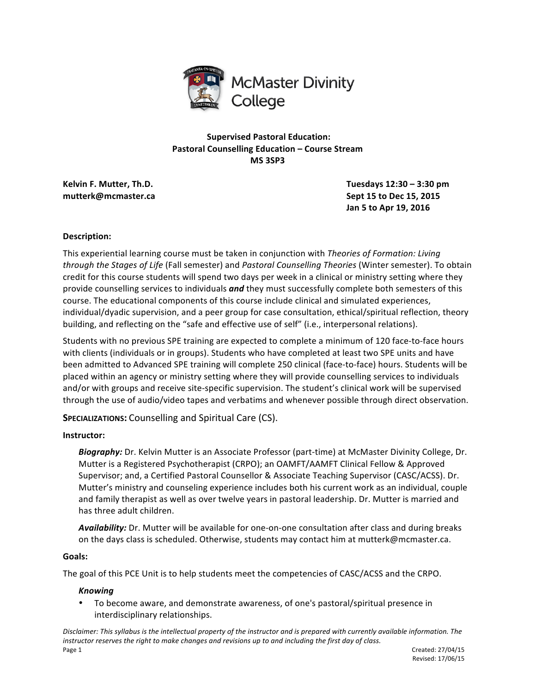

**Supervised Pastoral Education: Pastoral Counselling Education – Course Stream MS 3SP3**

**Kelvin F. Mutter, Th.D. Tuesdays 12:30 – 3:30 pm mutterk@mcmaster.ca Sept 15 to** Dec 15, 2015 **Jan 5 to Apr 19, 2016**

# **Description:**

This experiential learning course must be taken in conjunction with *Theories of Formation: Living through the Stages of Life* (Fall semester) and *Pastoral Counselling Theories* (Winter semester). To obtain credit for this course students will spend two days per week in a clinical or ministry setting where they provide counselling services to individuals **and** they must successfully complete both semesters of this course. The educational components of this course include clinical and simulated experiences, individual/dyadic supervision, and a peer group for case consultation, ethical/spiritual reflection, theory building, and reflecting on the "safe and effective use of self" (i.e., interpersonal relations).

Students with no previous SPE training are expected to complete a minimum of 120 face-to-face hours with clients (individuals or in groups). Students who have completed at least two SPE units and have been admitted to Advanced SPE training will complete 250 clinical (face-to-face) hours. Students will be placed within an agency or ministry setting where they will provide counselling services to individuals and/or with groups and receive site-specific supervision. The student's clinical work will be supervised through the use of audio/video tapes and verbatims and whenever possible through direct observation.

**SPECIALIZATIONS:** Counselling and Spiritual Care (CS).

# **Instructor:**

Biography: Dr. Kelvin Mutter is an Associate Professor (part-time) at McMaster Divinity College, Dr. Mutter is a Registered Psychotherapist (CRPO); an OAMFT/AAMFT Clinical Fellow & Approved Supervisor; and, a Certified Pastoral Counsellor & Associate Teaching Supervisor (CASC/ACSS). Dr. Mutter's ministry and counseling experience includes both his current work as an individual, couple and family therapist as well as over twelve years in pastoral leadership. Dr. Mutter is married and has three adult children.

Availability: Dr. Mutter will be available for one-on-one consultation after class and during breaks on the days class is scheduled. Otherwise, students may contact him at mutterk@mcmaster.ca.

# **Goals:**

The goal of this PCE Unit is to help students meet the competencies of CASC/ACSS and the CRPO.

# *Knowing*

To become aware, and demonstrate awareness, of one's pastoral/spiritual presence in interdisciplinary relationships.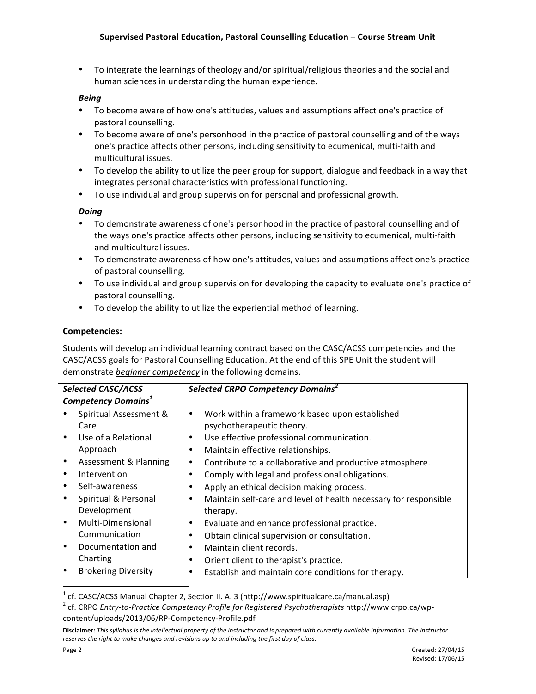To integrate the learnings of theology and/or spiritual/religious theories and the social and human sciences in understanding the human experience.

# *Being*

- To become aware of how one's attitudes, values and assumptions affect one's practice of pastoral counselling.
- To become aware of one's personhood in the practice of pastoral counselling and of the ways one's practice affects other persons, including sensitivity to ecumenical, multi-faith and multicultural issues.
- To develop the ability to utilize the peer group for support, dialogue and feedback in a way that integrates personal characteristics with professional functioning.
- To use individual and group supervision for personal and professional growth.

# *Doing*

- To demonstrate awareness of one's personhood in the practice of pastoral counselling and of the ways one's practice affects other persons, including sensitivity to ecumenical, multi-faith and multicultural issues.
- To demonstrate awareness of how one's attitudes, values and assumptions affect one's practice of pastoral counselling.
- To use individual and group supervision for developing the capacity to evaluate one's practice of pastoral counselling.
- To develop the ability to utilize the experiential method of learning.

# **Competencies:**

Students will develop an individual learning contract based on the CASC/ACSS competencies and the CASC/ACSS goals for Pastoral Counselling Education. At the end of this SPE Unit the student will demonstrate *beginner* competency in the following domains.

| <b>Selected CASC/ACSS</b><br><b>Competency Domains<sup>1</sup></b> |                                |   | Selected CRPO Competency Domains                                            |  |  |
|--------------------------------------------------------------------|--------------------------------|---|-----------------------------------------------------------------------------|--|--|
|                                                                    | Spiritual Assessment &<br>Care | ٠ | Work within a framework based upon established<br>psychotherapeutic theory. |  |  |
|                                                                    | Use of a Relational            | ٠ | Use effective professional communication.                                   |  |  |
|                                                                    | Approach                       | ٠ | Maintain effective relationships.                                           |  |  |
| ٠                                                                  | Assessment & Planning          | ٠ | Contribute to a collaborative and productive atmosphere.                    |  |  |
| ٠                                                                  | Intervention                   |   | Comply with legal and professional obligations.                             |  |  |
| ٠                                                                  | Self-awareness                 | ٠ | Apply an ethical decision making process.                                   |  |  |
|                                                                    | Spiritual & Personal           | ٠ | Maintain self-care and level of health necessary for responsible            |  |  |
|                                                                    | Development                    |   | therapy.                                                                    |  |  |
| ٠                                                                  | Multi-Dimensional              | ٠ | Evaluate and enhance professional practice.                                 |  |  |
|                                                                    | Communication                  | ٠ | Obtain clinical supervision or consultation.                                |  |  |
|                                                                    | Documentation and              | ٠ | Maintain client records.                                                    |  |  |
|                                                                    | Charting                       | ٠ | Orient client to therapist's practice.                                      |  |  |
|                                                                    | <b>Brokering Diversity</b>     | ٠ | Establish and maintain core conditions for therapy.                         |  |  |

<u> 1989 - Jan Samuel Barbara, margaret e</u>

<sup>&</sup>lt;sup>1</sup> cf. CASC/ACSS Manual Chapter 2, Section II. A. 3 (http://www.spiritualcare.ca/manual.asp)<br><sup>2</sup> cf. CRPO *Entry-to-Practice Competency Profile for Registered Psychotherapists* http://www.crpo.ca/wpcontent/uploads/2013/06/RP-Competency-Profile.pdf

Disclaimer: This syllabus is the intellectual property of the instructor and is prepared with currently available information. The instructor reserves the right to make changes and revisions up to and including the first day of class.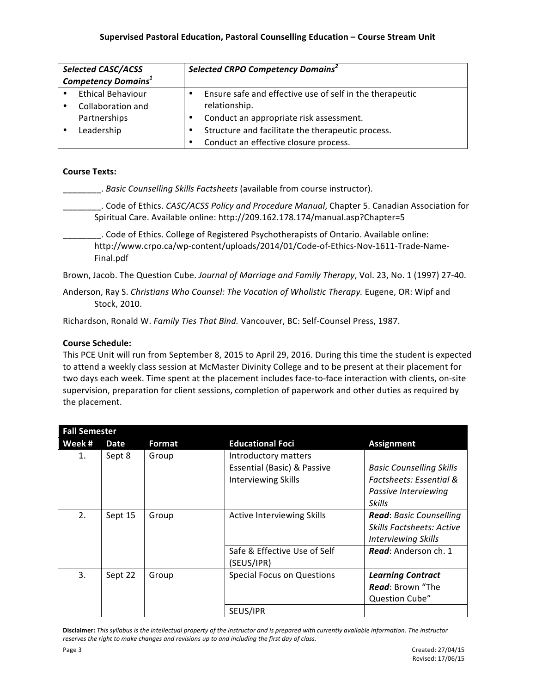| <b>Selected CASC/ACSS</b><br><b>Competency Domains<sup>1</sup></b> |                          | Selected CRPO Competency Domains <sup>2</sup> |                                                          |  |
|--------------------------------------------------------------------|--------------------------|-----------------------------------------------|----------------------------------------------------------|--|
|                                                                    | <b>Ethical Behaviour</b> |                                               | Ensure safe and effective use of self in the therapeutic |  |
|                                                                    | Collaboration and        |                                               | relationship.                                            |  |
|                                                                    | Partnerships             |                                               | Conduct an appropriate risk assessment.                  |  |
|                                                                    | Leadership               |                                               | Structure and facilitate the therapeutic process.        |  |
|                                                                    |                          |                                               | Conduct an effective closure process.                    |  |

#### **Course Texts:**

\_\_\_\_\_\_\_\_. *Basic Counselling Skills Factsheets* (available from course instructor).

\_\_\_\_\_\_\_\_. Code of Ethics. *CASC/ACSS Policy and Procedure Manual*, Chapter 5. Canadian Association for Spiritual Care. Available online: http://209.162.178.174/manual.asp?Chapter=5

\_\_\_\_\_\_\_\_. Code of Ethics. College of Registered Psychotherapists of Ontario. Available online: http://www.crpo.ca/wp-content/uploads/2014/01/Code-of-Ethics-Nov-1611-Trade-Name-Final.pdf

Brown, Jacob. The Question Cube. Journal of Marriage and Family Therapy, Vol. 23, No. 1 (1997) 27-40.

Anderson, Ray S. *Christians Who Counsel: The Vocation of Wholistic Therapy.* Eugene, OR: Wipf and Stock, 2010.

Richardson, Ronald W. Family Ties That Bind. Vancouver, BC: Self-Counsel Press, 1987.

# **Course Schedule:**

This PCE Unit will run from September 8, 2015 to April 29, 2016. During this time the student is expected to attend a weekly class session at McMaster Divinity College and to be present at their placement for two days each week. Time spent at the placement includes face-to-face interaction with clients, on-site supervision, preparation for client sessions, completion of paperwork and other duties as required by the placement.

| <b>Fall Semester</b> |         |               |                                   |                                  |
|----------------------|---------|---------------|-----------------------------------|----------------------------------|
| Week #               | Date    | <b>Format</b> | <b>Educational Foci</b>           | <b>Assignment</b>                |
| 1.                   | Sept 8  | Group         | Introductory matters              |                                  |
|                      |         |               | Essential (Basic) & Passive       | <b>Basic Counselling Skills</b>  |
|                      |         |               | <b>Interviewing Skills</b>        | Factsheets: Essential &          |
|                      |         |               |                                   | Passive Interviewing             |
|                      |         |               |                                   | Skills                           |
| 2.                   | Sept 15 | Group         | Active Interviewing Skills        | <b>Read:</b> Basic Counselling   |
|                      |         |               |                                   | <b>Skills Factsheets: Active</b> |
|                      |         |               |                                   | <b>Interviewing Skills</b>       |
|                      |         |               | Safe & Effective Use of Self      | <b>Read:</b> Anderson ch. 1      |
|                      |         |               | (SEUS/IPR)                        |                                  |
| 3.                   | Sept 22 | Group         | <b>Special Focus on Questions</b> | <b>Learning Contract</b>         |
|                      |         |               |                                   | <b>Read</b> : Brown "The         |
|                      |         |               |                                   | Question Cube"                   |
|                      |         |               | SEUS/IPR                          |                                  |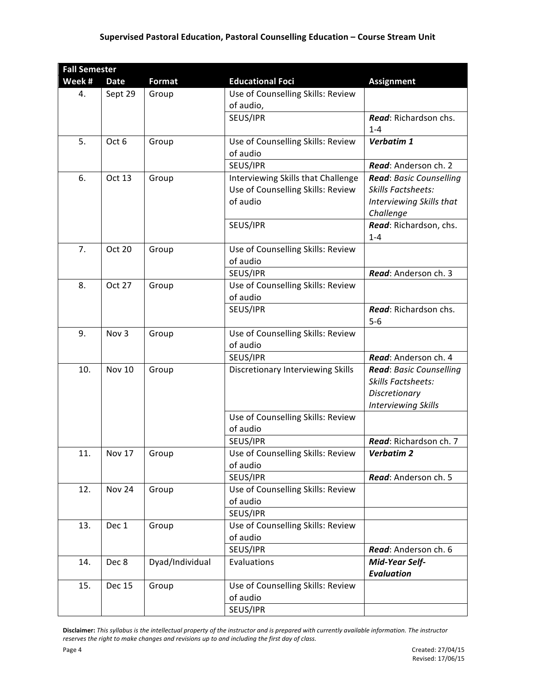# **Supervised Pastoral Education, Pastoral Counselling Education – Course Stream Unit**

| <b>Fall Semester</b> |               |                 |                                    |                            |  |
|----------------------|---------------|-----------------|------------------------------------|----------------------------|--|
| Week #               | <b>Date</b>   | Format          | <b>Educational Foci</b>            | <b>Assignment</b>          |  |
| 4.                   | Sept 29       | Group           | Use of Counselling Skills: Review  |                            |  |
|                      |               |                 | of audio,                          |                            |  |
|                      |               |                 | SEUS/IPR                           | Read: Richardson chs.      |  |
|                      |               |                 |                                    | $1 - 4$                    |  |
| 5.                   | Oct 6         | Group           | Use of Counselling Skills: Review  | Verbatim 1                 |  |
|                      |               |                 | of audio                           |                            |  |
|                      |               |                 | SEUS/IPR                           | Read: Anderson ch. 2       |  |
| 6.                   | Oct 13        | Group           | Interviewing Skills that Challenge | Read: Basic Counselling    |  |
|                      |               |                 | Use of Counselling Skills: Review  | <b>Skills Factsheets:</b>  |  |
|                      |               |                 | of audio                           | Interviewing Skills that   |  |
|                      |               |                 |                                    | Challenge                  |  |
|                      |               |                 | SEUS/IPR                           | Read: Richardson, chs.     |  |
|                      |               |                 |                                    | $1 - 4$                    |  |
| 7.                   | <b>Oct 20</b> | Group           | Use of Counselling Skills: Review  |                            |  |
|                      |               |                 | of audio                           |                            |  |
|                      |               |                 | SEUS/IPR                           | Read: Anderson ch. 3       |  |
| 8.                   | <b>Oct 27</b> | Group           | Use of Counselling Skills: Review  |                            |  |
|                      |               |                 | of audio                           |                            |  |
|                      |               |                 | SEUS/IPR                           | Read: Richardson chs.      |  |
|                      |               |                 |                                    | $5-6$                      |  |
| 9.                   | Nov 3         | Group           | Use of Counselling Skills: Review  |                            |  |
|                      |               |                 | of audio                           |                            |  |
|                      |               |                 | SEUS/IPR                           | Read: Anderson ch. 4       |  |
| 10.                  | Nov 10        | Group           | Discretionary Interviewing Skills  | Read: Basic Counselling    |  |
|                      |               |                 |                                    | <b>Skills Factsheets:</b>  |  |
|                      |               |                 |                                    | Discretionary              |  |
|                      |               |                 | Use of Counselling Skills: Review  | <b>Interviewing Skills</b> |  |
|                      |               |                 | of audio                           |                            |  |
|                      |               |                 | SEUS/IPR                           | Read: Richardson ch. 7     |  |
| 11.                  | <b>Nov 17</b> | Group           | Use of Counselling Skills: Review  | <b>Verbatim 2</b>          |  |
|                      |               |                 | of audio                           |                            |  |
|                      |               |                 | SEUS/IPR                           | Read: Anderson ch. 5       |  |
| 12.                  | <b>Nov 24</b> | Group           | Use of Counselling Skills: Review  |                            |  |
|                      |               |                 | of audio                           |                            |  |
|                      |               |                 | SEUS/IPR                           |                            |  |
| 13.                  | Dec 1         | Group           | Use of Counselling Skills: Review  |                            |  |
|                      |               |                 | of audio                           |                            |  |
|                      |               |                 | SEUS/IPR                           | Read: Anderson ch. 6       |  |
| 14.                  | Dec 8         | Dyad/Individual | Evaluations                        | Mid-Year Self-             |  |
|                      |               |                 |                                    | <b>Evaluation</b>          |  |
| 15.                  | <b>Dec 15</b> | Group           | Use of Counselling Skills: Review  |                            |  |
|                      |               |                 | of audio                           |                            |  |
|                      |               |                 | SEUS/IPR                           |                            |  |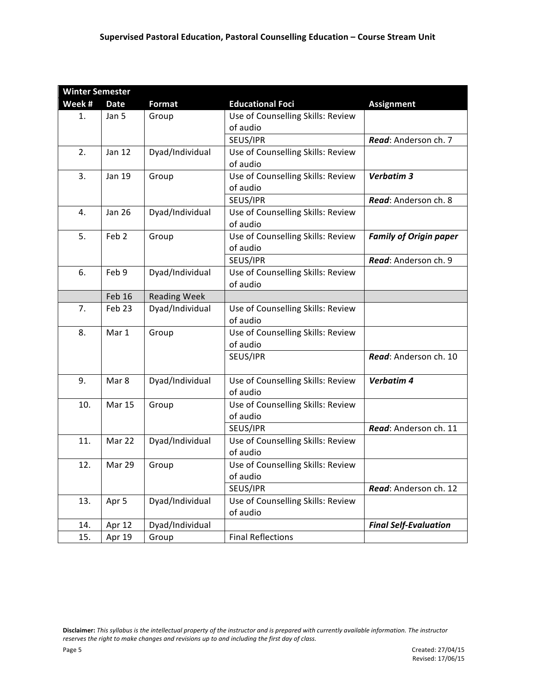| <b>Winter Semester</b> |                  |                     |                                   |                               |
|------------------------|------------------|---------------------|-----------------------------------|-------------------------------|
| Week#                  | <b>Date</b>      | <b>Format</b>       | <b>Educational Foci</b>           | <b>Assignment</b>             |
| 1.                     | Jan 5            | Group               | Use of Counselling Skills: Review |                               |
|                        |                  |                     | of audio                          |                               |
|                        |                  |                     | SEUS/IPR                          | Read: Anderson ch. 7          |
| 2.                     | <b>Jan 12</b>    | Dyad/Individual     | Use of Counselling Skills: Review |                               |
|                        |                  |                     | of audio                          |                               |
| 3.                     | <b>Jan 19</b>    | Group               | Use of Counselling Skills: Review | Verbatim 3                    |
|                        |                  |                     | of audio                          |                               |
|                        |                  |                     | SEUS/IPR                          | Read: Anderson ch. 8          |
| 4.                     | <b>Jan 26</b>    | Dyad/Individual     | Use of Counselling Skills: Review |                               |
|                        |                  |                     | of audio                          |                               |
| 5.                     | Feb <sub>2</sub> | Group               | Use of Counselling Skills: Review | <b>Family of Origin paper</b> |
|                        |                  |                     | of audio                          |                               |
|                        |                  |                     | SEUS/IPR                          | Read: Anderson ch. 9          |
| 6.                     | Feb 9            | Dyad/Individual     | Use of Counselling Skills: Review |                               |
|                        |                  |                     | of audio                          |                               |
|                        | Feb 16           | <b>Reading Week</b> |                                   |                               |
| 7.                     | Feb 23           | Dyad/Individual     | Use of Counselling Skills: Review |                               |
|                        |                  |                     | of audio                          |                               |
| 8.                     | Mar 1            | Group               | Use of Counselling Skills: Review |                               |
|                        |                  |                     | of audio                          |                               |
|                        |                  |                     | SEUS/IPR                          | Read: Anderson ch. 10         |
|                        |                  |                     |                                   |                               |
| 9.                     | Mar 8            | Dyad/Individual     | Use of Counselling Skills: Review | Verbatim 4                    |
|                        |                  |                     | of audio                          |                               |
| 10.                    | <b>Mar 15</b>    | Group               | Use of Counselling Skills: Review |                               |
|                        |                  |                     | of audio                          |                               |
|                        |                  |                     | SEUS/IPR                          | Read: Anderson ch. 11         |
| 11.                    | Mar 22           | Dyad/Individual     | Use of Counselling Skills: Review |                               |
|                        |                  |                     | of audio                          |                               |
| 12.                    | Mar 29           | Group               | Use of Counselling Skills: Review |                               |
|                        |                  |                     | of audio                          |                               |
|                        |                  |                     | SEUS/IPR                          | Read: Anderson ch. 12         |
| 13.                    | Apr 5            | Dyad/Individual     | Use of Counselling Skills: Review |                               |
|                        |                  |                     | of audio                          |                               |
| 14.                    | Apr 12           | Dyad/Individual     |                                   | <b>Final Self-Evaluation</b>  |
| 15.                    | Apr 19           | Group               | <b>Final Reflections</b>          |                               |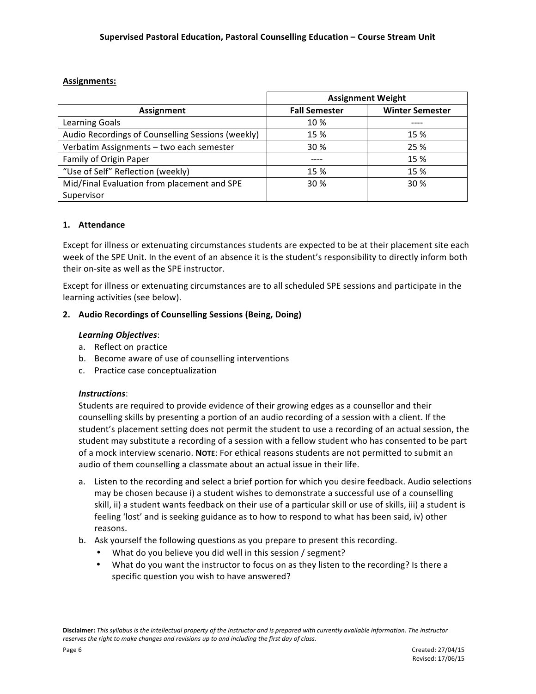# **Assignments:**

|                                                   | <b>Assignment Weight</b> |                        |  |
|---------------------------------------------------|--------------------------|------------------------|--|
| Assignment                                        | <b>Fall Semester</b>     | <b>Winter Semester</b> |  |
| Learning Goals                                    | 10 %                     |                        |  |
| Audio Recordings of Counselling Sessions (weekly) | 15 %                     | 15 %                   |  |
| Verbatim Assignments - two each semester          | 30 %                     | 25 %                   |  |
| Family of Origin Paper                            |                          | 15 %                   |  |
| "Use of Self" Reflection (weekly)                 | 15 %                     | 15 %                   |  |
| Mid/Final Evaluation from placement and SPE       | 30 %                     | 30 %                   |  |
| Supervisor                                        |                          |                        |  |

# **1. Attendance**

Except for illness or extenuating circumstances students are expected to be at their placement site each week of the SPE Unit. In the event of an absence it is the student's responsibility to directly inform both their on-site as well as the SPE instructor.

Except for illness or extenuating circumstances are to all scheduled SPE sessions and participate in the learning activities (see below).

# **2. Audio Recordings of Counselling Sessions (Being, Doing)**

# *Learning Objectives*:

- a. Reflect on practice
- b. Become aware of use of counselling interventions
- c. Practice case conceptualization

# *Instructions*:

Students are required to provide evidence of their growing edges as a counsellor and their counselling skills by presenting a portion of an audio recording of a session with a client. If the student's placement setting does not permit the student to use a recording of an actual session, the student may substitute a recording of a session with a fellow student who has consented to be part of a mock interview scenario. **NOTE:** For ethical reasons students are not permitted to submit an audio of them counselling a classmate about an actual issue in their life.

- a. Listen to the recording and select a brief portion for which you desire feedback. Audio selections may be chosen because i) a student wishes to demonstrate a successful use of a counselling skill, ii) a student wants feedback on their use of a particular skill or use of skills, iii) a student is feeling 'lost' and is seeking guidance as to how to respond to what has been said, iv) other reasons.
- b. Ask yourself the following questions as you prepare to present this recording.
	- What do you believe you did well in this session / segment?
	- What do you want the instructor to focus on as they listen to the recording? Is there a specific question you wish to have answered?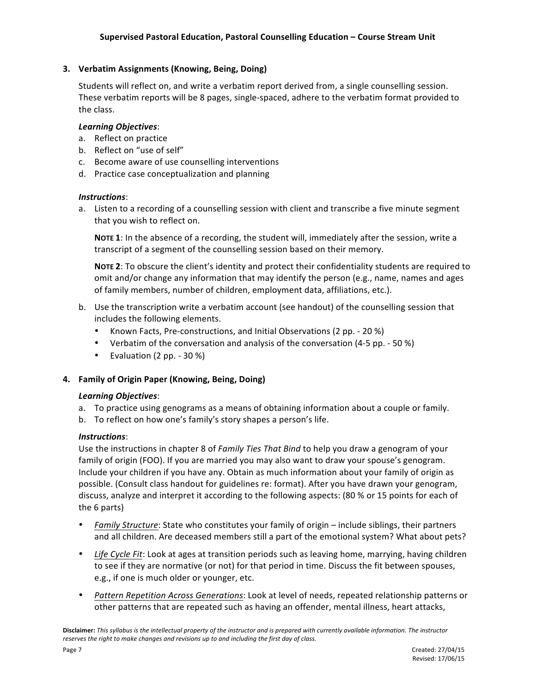# **3. Verbatim Assignments (Knowing, Being, Doing)**

Students will reflect on, and write a verbatim report derived from, a single counselling session. These verbatim reports will be 8 pages, single-spaced, adhere to the verbatim format provided to the class.

#### *Learning Objectives*:

- a. Reflect on practice
- b. Reflect on "use of self"
- c. Become aware of use counselling interventions
- d. Practice case conceptualization and planning

# *Instructions*:

a. Listen to a recording of a counselling session with client and transcribe a five minute segment that you wish to reflect on.

**NOTE 1:** In the absence of a recording, the student will, immediately after the session, write a transcript of a segment of the counselling session based on their memory.

NOTE 2: To obscure the client's identity and protect their confidentiality students are required to omit and/or change any information that may identify the person (e.g., name, names and ages of family members, number of children, employment data, affiliations, etc.).

- b. Use the transcription write a verbatim account (see handout) of the counselling session that includes the following elements.
	- Known Facts, Pre-constructions, and Initial Observations (2 pp. 20 %)
	- Verbatim of the conversation and analysis of the conversation  $(4-5 pp. 50 %)$
	- Evaluation  $(2 pp. 30 %)$

# **4. Family of Origin Paper (Knowing, Being, Doing)**

#### *Learning Objectives*:

- a. To practice using genograms as a means of obtaining information about a couple or family.
- b. To reflect on how one's family's story shapes a person's life.

# *Instructions*:

Use the instructions in chapter 8 of *Family Ties That Bind* to help you draw a genogram of your family of origin (FOO). If you are married you may also want to draw your spouse's genogram. Include your children if you have any. Obtain as much information about your family of origin as possible. (Consult class handout for guidelines re: format). After you have drawn your genogram, discuss, analyze and interpret it according to the following aspects: (80 % or 15 points for each of the 6 parts)

- *Family Structure*: State who constitutes your family of origin include siblings, their partners and all children. Are deceased members still a part of the emotional system? What about pets?
- Life Cycle Fit: Look at ages at transition periods such as leaving home, marrying, having children to see if they are normative (or not) for that period in time. Discuss the fit between spouses, e.g., if one is much older or younger, etc.
- *Pattern Repetition Across Generations*: Look at level of needs, repeated relationship patterns or other patterns that are repeated such as having an offender, mental illness, heart attacks,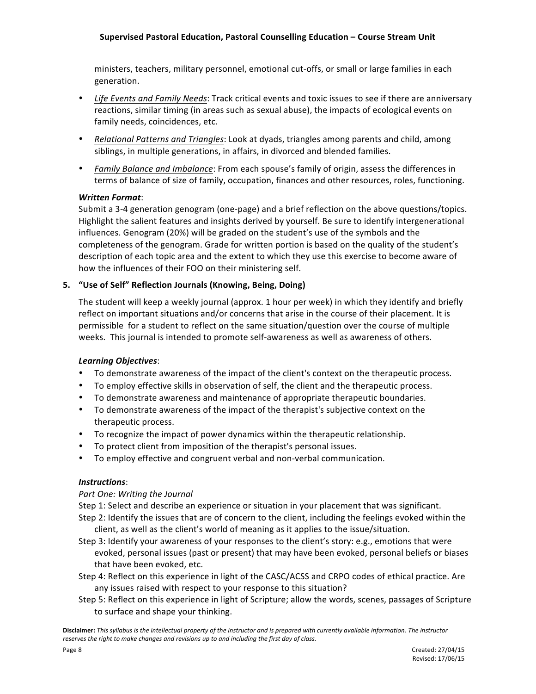# **Supervised Pastoral Education, Pastoral Counselling Education – Course Stream Unit**

ministers, teachers, military personnel, emotional cut-offs, or small or large families in each generation. 

- Life Events and Family Needs: Track critical events and toxic issues to see if there are anniversary reactions, similar timing (in areas such as sexual abuse), the impacts of ecological events on family needs, coincidences, etc.
- *Relational Patterns and Triangles*: Look at dyads, triangles among parents and child, among siblings, in multiple generations, in affairs, in divorced and blended families.
- *Family Balance and Imbalance*: From each spouse's family of origin, assess the differences in terms of balance of size of family, occupation, finances and other resources, roles, functioning.

# *Written Format*:

Submit a 3-4 generation genogram (one-page) and a brief reflection on the above questions/topics. Highlight the salient features and insights derived by yourself. Be sure to identify intergenerational influences. Genogram (20%) will be graded on the student's use of the symbols and the completeness of the genogram. Grade for written portion is based on the quality of the student's description of each topic area and the extent to which they use this exercise to become aware of how the influences of their FOO on their ministering self.

# **5. "Use of Self" Reflection Journals (Knowing, Being, Doing)**

The student will keep a weekly journal (approx. 1 hour per week) in which they identify and briefly reflect on important situations and/or concerns that arise in the course of their placement. It is permissible for a student to reflect on the same situation/question over the course of multiple weeks. This journal is intended to promote self-awareness as well as awareness of others.

# *Learning Objectives*:

- To demonstrate awareness of the impact of the client's context on the therapeutic process.
- To employ effective skills in observation of self, the client and the therapeutic process.
- To demonstrate awareness and maintenance of appropriate therapeutic boundaries.
- To demonstrate awareness of the impact of the therapist's subjective context on the therapeutic process.
- To recognize the impact of power dynamics within the therapeutic relationship.
- To protect client from imposition of the therapist's personal issues.
- To employ effective and congruent verbal and non-verbal communication.

# *Instructions*:

# *Part One: Writing the Journal*

Step 1: Select and describe an experience or situation in your placement that was significant.

- Step 2: Identify the issues that are of concern to the client, including the feelings evoked within the client, as well as the client's world of meaning as it applies to the issue/situation.
- Step 3: Identify your awareness of your responses to the client's story: e.g., emotions that were evoked, personal issues (past or present) that may have been evoked, personal beliefs or biases that have been evoked, etc.
- Step 4: Reflect on this experience in light of the CASC/ACSS and CRPO codes of ethical practice. Are any issues raised with respect to your response to this situation?
- Step 5: Reflect on this experience in light of Scripture; allow the words, scenes, passages of Scripture to surface and shape your thinking.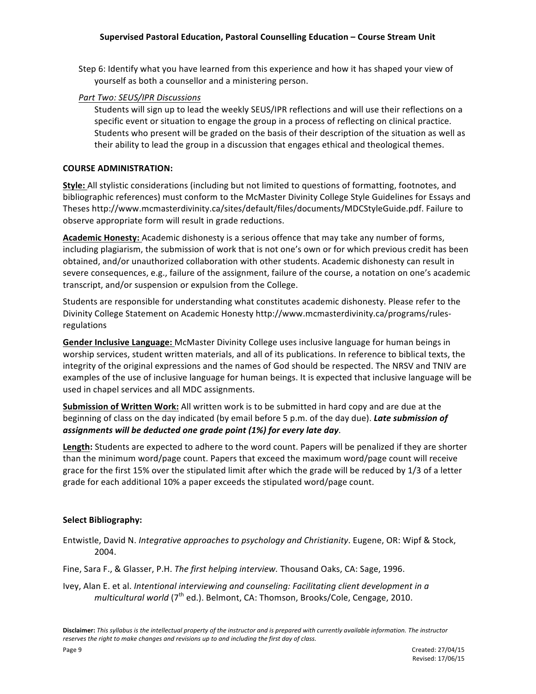Step 6: Identify what you have learned from this experience and how it has shaped your view of yourself as both a counsellor and a ministering person.

# *Part Two: SEUS/IPR Discussions*

Students will sign up to lead the weekly SEUS/IPR reflections and will use their reflections on a specific event or situation to engage the group in a process of reflecting on clinical practice. Students who present will be graded on the basis of their description of the situation as well as their ability to lead the group in a discussion that engages ethical and theological themes.

# **COURSE ADMINISTRATION:**

**Style:** All stylistic considerations (including but not limited to questions of formatting, footnotes, and bibliographic references) must conform to the McMaster Divinity College Style Guidelines for Essays and Theses http://www.mcmasterdivinity.ca/sites/default/files/documents/MDCStyleGuide.pdf. Failure to observe appropriate form will result in grade reductions.

**Academic Honesty:** Academic dishonesty is a serious offence that may take any number of forms, including plagiarism, the submission of work that is not one's own or for which previous credit has been obtained, and/or unauthorized collaboration with other students. Academic dishonesty can result in severe consequences, e.g., failure of the assignment, failure of the course, a notation on one's academic transcript, and/or suspension or expulsion from the College.

Students are responsible for understanding what constitutes academic dishonesty. Please refer to the Divinity College Statement on Academic Honesty http://www.mcmasterdivinity.ca/programs/rulesregulations 

Gender Inclusive Language: McMaster Divinity College uses inclusive language for human beings in worship services, student written materials, and all of its publications. In reference to biblical texts, the integrity of the original expressions and the names of God should be respected. The NRSV and TNIV are examples of the use of inclusive language for human beings. It is expected that inclusive language will be used in chapel services and all MDC assignments.

**Submission of Written Work:** All written work is to be submitted in hard copy and are due at the beginning of class on the day indicated (by email before 5 p.m. of the day due). Late submission of assignments will be deducted one grade point (1%) for every late day.

Length: Students are expected to adhere to the word count. Papers will be penalized if they are shorter than the minimum word/page count. Papers that exceed the maximum word/page count will receive grace for the first 15% over the stipulated limit after which the grade will be reduced by 1/3 of a letter grade for each additional 10% a paper exceeds the stipulated word/page count.

# **Select Bibliography:**

Entwistle, David N. *Integrative approaches to psychology and Christianity*. Eugene, OR: Wipf & Stock, 2004. 

Fine, Sara F., & Glasser, P.H. *The first helping interview*. Thousand Oaks, CA: Sage, 1996.

Ivey, Alan E. et al. *Intentional interviewing and counseling: Facilitating client development in a* multicultural world (7<sup>th</sup> ed.). Belmont, CA: Thomson, Brooks/Cole, Cengage, 2010.